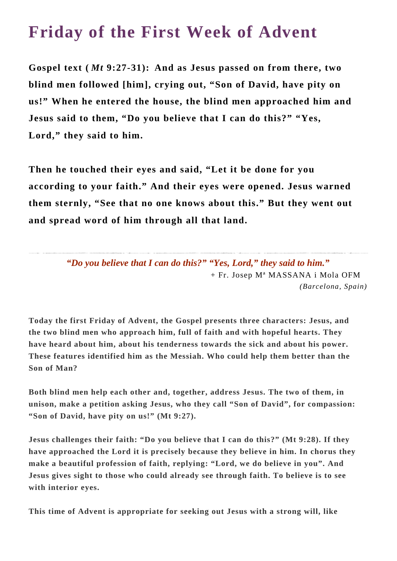## **Friday of the First Week of Advent**

**Gospel text (** *Mt* **9:27-31): And as Jesus passed on from there, two blind men followed [him], crying out, "Son of David, have pity on us!" When he entered the house, the blind men approached him and Jesus said to them, "Do you believe that I can do this?" "Yes, Lord," they said to him.**

**Then he touched their eyes and said, "Let it be done for you according to your faith." And their eyes were opened. Jesus warned them sternly, "See that no one knows about this." But they went out and spread word of him through all that land.**

> *"Do you believe that I can do this?" "Yes, Lord," they said to him."* + Fr. Josep Mª MASSANA i Mola OFM *(Barcelona, Spain)*

**Today the first Friday of Advent, the Gospel presents three characters: Jesus, and the two blind men who approach him, full of faith and with hopeful hearts. They have heard about him, about his tenderness towards the sick and about his power. These features identified him as the Messiah. Who could help them better than the Son of Man?**

**Both blind men help each other and, together, address Jesus. The two of them, in unison, make a petition asking Jesus, who they call "Son of David", for compassion: "Son of David, have pity on us!" (Mt 9:27).**

**Jesus challenges their faith: "Do you believe that I can do this?" (Mt 9:28). If they have approached the Lord it is precisely because they believe in him. In chorus they make a beautiful profession of faith, replying: "Lord, we do believe in you". And Jesus gives sight to those who could already see through faith. To believe is to see with interior eyes.**

**This time of Advent is appropriate for seeking out Jesus with a strong will, like**